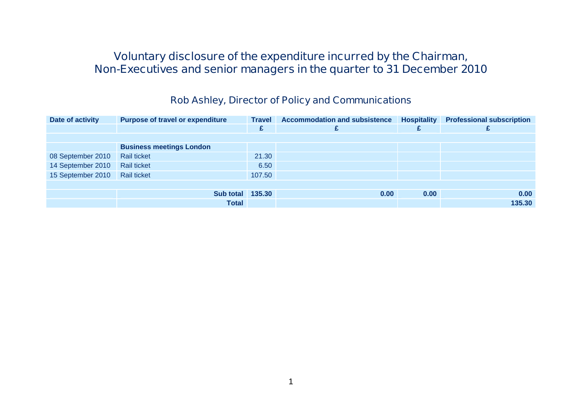#### **Voluntary disclosure of the expenditure incurred by the Chairman, Non-Executives and senior managers in the quarter to 31 December 2010**

#### **Rob Ashley, Director of Policy and Communications**

| Date of activity  | <b>Purpose of travel or expenditure</b> | <b>Travel</b> | <b>Accommodation and subsistence</b> | <b>Hospitality</b> | <b>Professional subscription</b> |
|-------------------|-----------------------------------------|---------------|--------------------------------------|--------------------|----------------------------------|
|                   |                                         | £             |                                      |                    |                                  |
|                   |                                         |               |                                      |                    |                                  |
|                   | <b>Business meetings London</b>         |               |                                      |                    |                                  |
| 08 September 2010 | <b>Rail ticket</b>                      | 21.30         |                                      |                    |                                  |
| 14 September 2010 | <b>Rail ticket</b>                      | 6.50          |                                      |                    |                                  |
| 15 September 2010 | <b>Rail ticket</b>                      | 107.50        |                                      |                    |                                  |
|                   |                                         |               |                                      |                    |                                  |
|                   | <b>Sub total 135.30</b>                 |               | 0.00                                 | 0.00               | 0.00                             |
|                   | <b>Total</b>                            |               |                                      |                    | 135.30                           |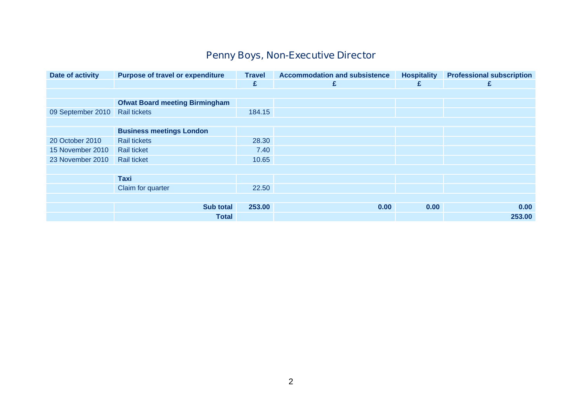# **Penny Boys, Non-Executive Director**

| Date of activity  | <b>Purpose of travel or expenditure</b> | <b>Travel</b> | <b>Accommodation and subsistence</b> | <b>Hospitality</b> | <b>Professional subscription</b> |
|-------------------|-----------------------------------------|---------------|--------------------------------------|--------------------|----------------------------------|
|                   |                                         | £             | £                                    | £                  | £                                |
|                   |                                         |               |                                      |                    |                                  |
|                   | <b>Ofwat Board meeting Birmingham</b>   |               |                                      |                    |                                  |
| 09 September 2010 | <b>Rail tickets</b>                     | 184.15        |                                      |                    |                                  |
|                   |                                         |               |                                      |                    |                                  |
|                   | <b>Business meetings London</b>         |               |                                      |                    |                                  |
| 20 October 2010   | <b>Rail tickets</b>                     | 28.30         |                                      |                    |                                  |
| 15 November 2010  | <b>Rail ticket</b>                      | 7.40          |                                      |                    |                                  |
| 23 November 2010  | <b>Rail ticket</b>                      | 10.65         |                                      |                    |                                  |
|                   |                                         |               |                                      |                    |                                  |
|                   | <b>Taxi</b>                             |               |                                      |                    |                                  |
|                   | Claim for quarter                       | 22.50         |                                      |                    |                                  |
|                   |                                         |               |                                      |                    |                                  |
|                   | <b>Sub total</b>                        | 253.00        | 0.00                                 | 0.00               | 0.00                             |
|                   | <b>Total</b>                            |               |                                      |                    | 253.00                           |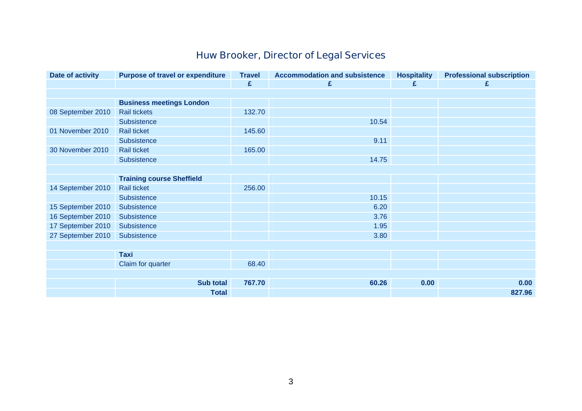# **Huw Brooker, Director of Legal Services**

| Date of activity  | <b>Purpose of travel or expenditure</b> | <b>Travel</b> | <b>Accommodation and subsistence</b> | <b>Hospitality</b> | <b>Professional subscription</b> |
|-------------------|-----------------------------------------|---------------|--------------------------------------|--------------------|----------------------------------|
|                   |                                         | £             | £                                    | £                  | £                                |
|                   |                                         |               |                                      |                    |                                  |
|                   | <b>Business meetings London</b>         |               |                                      |                    |                                  |
| 08 September 2010 | <b>Rail tickets</b>                     | 132.70        |                                      |                    |                                  |
|                   | Subsistence                             |               | 10.54                                |                    |                                  |
| 01 November 2010  | <b>Rail ticket</b>                      | 145.60        |                                      |                    |                                  |
|                   | Subsistence                             |               | 9.11                                 |                    |                                  |
| 30 November 2010  | <b>Rail ticket</b>                      | 165.00        |                                      |                    |                                  |
|                   | Subsistence                             |               | 14.75                                |                    |                                  |
|                   |                                         |               |                                      |                    |                                  |
|                   | <b>Training course Sheffield</b>        |               |                                      |                    |                                  |
| 14 September 2010 | <b>Rail ticket</b>                      | 256.00        |                                      |                    |                                  |
|                   | Subsistence                             |               | 10.15                                |                    |                                  |
| 15 September 2010 | Subsistence                             |               | 6.20                                 |                    |                                  |
| 16 September 2010 | Subsistence                             |               | 3.76                                 |                    |                                  |
| 17 September 2010 | Subsistence                             |               | 1.95                                 |                    |                                  |
| 27 September 2010 | Subsistence                             |               | 3.80                                 |                    |                                  |
|                   |                                         |               |                                      |                    |                                  |
|                   | <b>Taxi</b>                             |               |                                      |                    |                                  |
|                   | Claim for quarter                       | 68.40         |                                      |                    |                                  |
|                   |                                         |               |                                      |                    |                                  |
|                   | <b>Sub total</b>                        | 767.70        | 60.26                                | 0.00               | 0.00                             |
|                   | <b>Total</b>                            |               |                                      |                    | 827.96                           |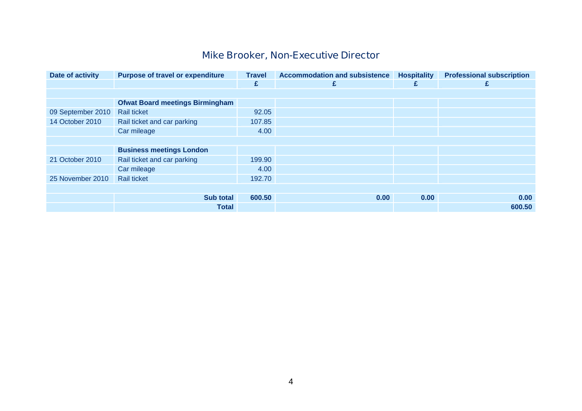# **Mike Brooker, Non-Executive Director**

| Date of activity  | <b>Purpose of travel or expenditure</b> | <b>Travel</b> | <b>Accommodation and subsistence</b> | <b>Hospitality</b> | <b>Professional subscription</b> |
|-------------------|-----------------------------------------|---------------|--------------------------------------|--------------------|----------------------------------|
|                   |                                         | £             | £                                    | £                  | £                                |
|                   |                                         |               |                                      |                    |                                  |
|                   | <b>Ofwat Board meetings Birmingham</b>  |               |                                      |                    |                                  |
| 09 September 2010 | <b>Rail ticket</b>                      | 92.05         |                                      |                    |                                  |
| 14 October 2010   | Rail ticket and car parking             | 107.85        |                                      |                    |                                  |
|                   | Car mileage                             | 4.00          |                                      |                    |                                  |
|                   |                                         |               |                                      |                    |                                  |
|                   | <b>Business meetings London</b>         |               |                                      |                    |                                  |
| 21 October 2010   | Rail ticket and car parking             | 199.90        |                                      |                    |                                  |
|                   | Car mileage                             | 4.00          |                                      |                    |                                  |
| 25 November 2010  | <b>Rail ticket</b>                      | 192.70        |                                      |                    |                                  |
|                   |                                         |               |                                      |                    |                                  |
|                   | <b>Sub total</b>                        | 600.50        | 0.00                                 | 0.00               | 0.00                             |
|                   | <b>Total</b>                            |               |                                      |                    | 600.50                           |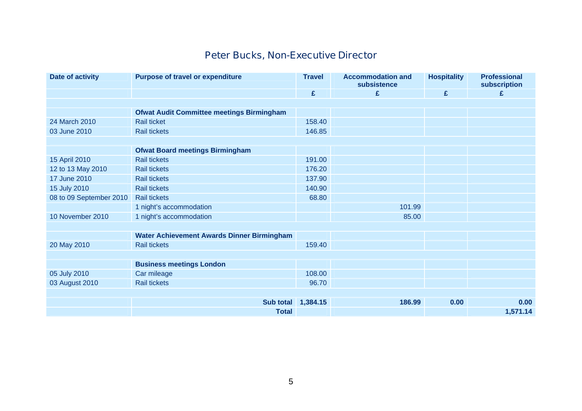#### **Peter Bucks, Non-Executive Director**

| Date of activity        | <b>Purpose of travel or expenditure</b>           | <b>Travel</b> | <b>Accommodation and</b><br>subsistence | <b>Hospitality</b> | <b>Professional</b><br>subscription |
|-------------------------|---------------------------------------------------|---------------|-----------------------------------------|--------------------|-------------------------------------|
|                         |                                                   | £             | £                                       | £                  | £                                   |
|                         |                                                   |               |                                         |                    |                                     |
|                         | <b>Ofwat Audit Committee meetings Birmingham</b>  |               |                                         |                    |                                     |
| 24 March 2010           | <b>Rail ticket</b>                                | 158.40        |                                         |                    |                                     |
| 03 June 2010            | <b>Rail tickets</b>                               | 146.85        |                                         |                    |                                     |
|                         |                                                   |               |                                         |                    |                                     |
|                         | <b>Ofwat Board meetings Birmingham</b>            |               |                                         |                    |                                     |
| 15 April 2010           | <b>Rail tickets</b>                               | 191.00        |                                         |                    |                                     |
| 12 to 13 May 2010       | <b>Rail tickets</b>                               | 176.20        |                                         |                    |                                     |
| 17 June 2010            | <b>Rail tickets</b>                               | 137.90        |                                         |                    |                                     |
| 15 July 2010            | <b>Rail tickets</b>                               | 140.90        |                                         |                    |                                     |
| 08 to 09 September 2010 | <b>Rail tickets</b>                               | 68.80         |                                         |                    |                                     |
|                         | 1 night's accommodation                           |               | 101.99                                  |                    |                                     |
| 10 November 2010        | 1 night's accommodation                           |               | 85.00                                   |                    |                                     |
|                         |                                                   |               |                                         |                    |                                     |
|                         | <b>Water Achievement Awards Dinner Birmingham</b> |               |                                         |                    |                                     |
| 20 May 2010             | <b>Rail tickets</b>                               | 159.40        |                                         |                    |                                     |
|                         |                                                   |               |                                         |                    |                                     |
|                         | <b>Business meetings London</b>                   |               |                                         |                    |                                     |
| 05 July 2010            | Car mileage                                       | 108.00        |                                         |                    |                                     |
| 03 August 2010          | <b>Rail tickets</b>                               | 96.70         |                                         |                    |                                     |
|                         |                                                   |               |                                         |                    |                                     |
|                         | <b>Sub total</b>                                  | 1,384.15      | 186.99                                  | 0.00               | 0.00                                |
|                         | <b>Total</b>                                      |               |                                         |                    | 1,571.14                            |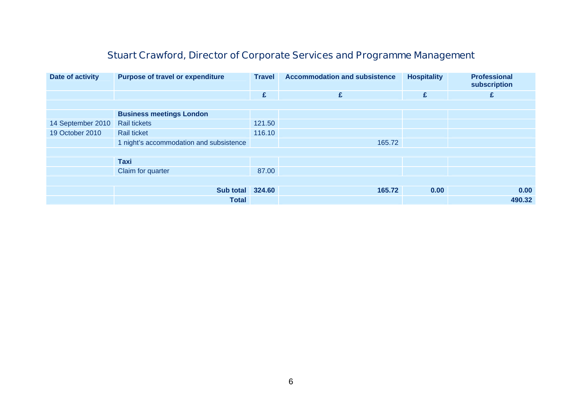# **Stuart Crawford, Director of Corporate Services and Programme Management**

| Date of activity  | <b>Purpose of travel or expenditure</b> | <b>Travel</b> | <b>Accommodation and subsistence</b> | <b>Hospitality</b> | <b>Professional</b><br>subscription |
|-------------------|-----------------------------------------|---------------|--------------------------------------|--------------------|-------------------------------------|
|                   |                                         | £             | £                                    | £                  | £                                   |
|                   |                                         |               |                                      |                    |                                     |
|                   | <b>Business meetings London</b>         |               |                                      |                    |                                     |
| 14 September 2010 | <b>Rail tickets</b>                     | 121.50        |                                      |                    |                                     |
| 19 October 2010   | <b>Rail ticket</b>                      | 116.10        |                                      |                    |                                     |
|                   | 1 night's accommodation and subsistence |               | 165.72                               |                    |                                     |
|                   |                                         |               |                                      |                    |                                     |
|                   | <b>Taxi</b>                             |               |                                      |                    |                                     |
|                   | Claim for quarter                       | 87.00         |                                      |                    |                                     |
|                   |                                         |               |                                      |                    |                                     |
|                   | <b>Sub total 324.60</b>                 |               | 165.72                               | 0.00               | 0.00                                |
|                   | <b>Total</b>                            |               |                                      |                    | 490.32                              |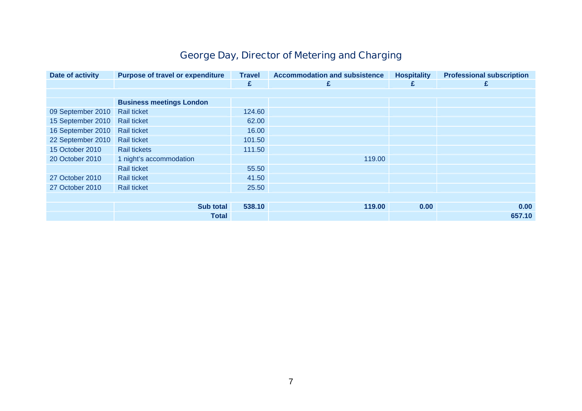# **George Day, Director of Metering and Charging**

| Date of activity  | <b>Purpose of travel or expenditure</b> | <b>Travel</b> | <b>Accommodation and subsistence</b> | <b>Hospitality</b> | <b>Professional subscription</b> |
|-------------------|-----------------------------------------|---------------|--------------------------------------|--------------------|----------------------------------|
|                   |                                         | £             | £                                    | £                  |                                  |
|                   |                                         |               |                                      |                    |                                  |
|                   | <b>Business meetings London</b>         |               |                                      |                    |                                  |
| 09 September 2010 | <b>Rail ticket</b>                      | 124.60        |                                      |                    |                                  |
| 15 September 2010 | <b>Rail ticket</b>                      | 62.00         |                                      |                    |                                  |
| 16 September 2010 | <b>Rail ticket</b>                      | 16.00         |                                      |                    |                                  |
| 22 September 2010 | <b>Rail ticket</b>                      | 101.50        |                                      |                    |                                  |
| 15 October 2010   | <b>Rail tickets</b>                     | 111.50        |                                      |                    |                                  |
| 20 October 2010   | 1 night's accommodation                 |               | 119.00                               |                    |                                  |
|                   | <b>Rail ticket</b>                      | 55.50         |                                      |                    |                                  |
| 27 October 2010   | <b>Rail ticket</b>                      | 41.50         |                                      |                    |                                  |
| 27 October 2010   | <b>Rail ticket</b>                      | 25.50         |                                      |                    |                                  |
|                   |                                         |               |                                      |                    |                                  |
|                   | Sub total                               | 538.10        | 119.00                               | 0.00               | 0.00                             |
|                   | <b>Total</b>                            |               |                                      |                    | 657.10                           |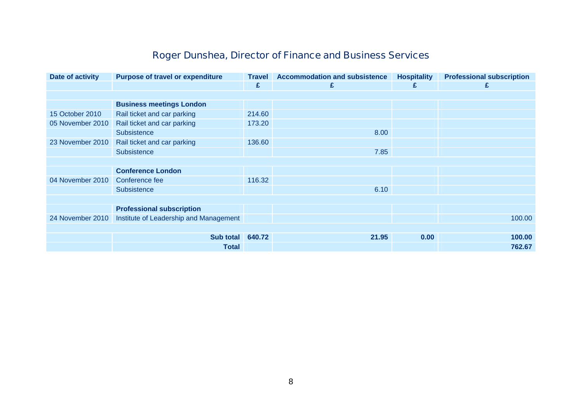# **Roger Dunshea, Director of Finance and Business Services**

| Date of activity | <b>Purpose of travel or expenditure</b> | <b>Travel</b> | <b>Accommodation and subsistence</b> | <b>Hospitality</b> | <b>Professional subscription</b> |
|------------------|-----------------------------------------|---------------|--------------------------------------|--------------------|----------------------------------|
|                  |                                         | £             | £                                    | £                  | £                                |
|                  |                                         |               |                                      |                    |                                  |
|                  | <b>Business meetings London</b>         |               |                                      |                    |                                  |
| 15 October 2010  | Rail ticket and car parking             | 214.60        |                                      |                    |                                  |
| 05 November 2010 | Rail ticket and car parking             | 173.20        |                                      |                    |                                  |
|                  | Subsistence                             |               | 8.00                                 |                    |                                  |
| 23 November 2010 | Rail ticket and car parking             | 136.60        |                                      |                    |                                  |
|                  | <b>Subsistence</b>                      |               | 7.85                                 |                    |                                  |
|                  |                                         |               |                                      |                    |                                  |
|                  | <b>Conference London</b>                |               |                                      |                    |                                  |
| 04 November 2010 | Conference fee                          | 116.32        |                                      |                    |                                  |
|                  | Subsistence                             |               | 6.10                                 |                    |                                  |
|                  |                                         |               |                                      |                    |                                  |
|                  | <b>Professional subscription</b>        |               |                                      |                    |                                  |
| 24 November 2010 | Institute of Leadership and Management  |               |                                      |                    | 100.00                           |
|                  |                                         |               |                                      |                    |                                  |
|                  | Sub total                               | 640.72        | 21.95                                | 0.00               | 100.00                           |
|                  | Total                                   |               |                                      |                    | 762.67                           |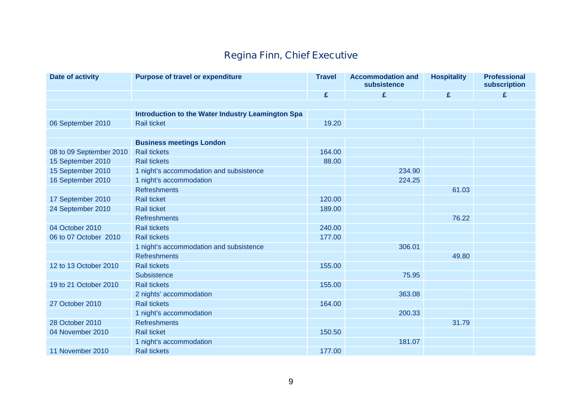# **Regina Finn, Chief Executive**

| <b>Date of activity</b> | <b>Purpose of travel or expenditure</b>           | <b>Travel</b> | <b>Accommodation and</b><br>subsistence | <b>Hospitality</b> | <b>Professional</b><br>subscription |
|-------------------------|---------------------------------------------------|---------------|-----------------------------------------|--------------------|-------------------------------------|
|                         |                                                   | £             | £                                       | £                  | £                                   |
|                         |                                                   |               |                                         |                    |                                     |
|                         | Introduction to the Water Industry Leamington Spa |               |                                         |                    |                                     |
| 06 September 2010       | <b>Rail ticket</b>                                | 19.20         |                                         |                    |                                     |
|                         |                                                   |               |                                         |                    |                                     |
|                         | <b>Business meetings London</b>                   |               |                                         |                    |                                     |
| 08 to 09 September 2010 | <b>Rail tickets</b>                               | 164.00        |                                         |                    |                                     |
| 15 September 2010       | <b>Rail tickets</b>                               | 88.00         |                                         |                    |                                     |
| 15 September 2010       | 1 night's accommodation and subsistence           |               | 234.90                                  |                    |                                     |
| 16 September 2010       | 1 night's accommodation                           |               | 224.25                                  |                    |                                     |
|                         | <b>Refreshments</b>                               |               |                                         | 61.03              |                                     |
| 17 September 2010       | <b>Rail ticket</b>                                | 120.00        |                                         |                    |                                     |
| 24 September 2010       | <b>Rail ticket</b>                                | 189.00        |                                         |                    |                                     |
|                         | <b>Refreshments</b>                               |               |                                         | 76.22              |                                     |
| 04 October 2010         | <b>Rail tickets</b>                               | 240.00        |                                         |                    |                                     |
| 06 to 07 October 2010   | <b>Rail tickets</b>                               | 177.00        |                                         |                    |                                     |
|                         | 1 night's accommodation and subsistence           |               | 306.01                                  |                    |                                     |
|                         | <b>Refreshments</b>                               |               |                                         | 49.80              |                                     |
| 12 to 13 October 2010   | <b>Rail tickets</b>                               | 155.00        |                                         |                    |                                     |
|                         | Subsistence                                       |               | 75.95                                   |                    |                                     |
| 19 to 21 October 2010   | <b>Rail tickets</b>                               | 155.00        |                                         |                    |                                     |
|                         | 2 nights' accommodation                           |               | 363.08                                  |                    |                                     |
| 27 October 2010         | <b>Rail tickets</b>                               | 164.00        |                                         |                    |                                     |
|                         | 1 night's accommodation                           |               | 200.33                                  |                    |                                     |
| 28 October 2010         | <b>Refreshments</b>                               |               |                                         | 31.79              |                                     |
| 04 November 2010        | <b>Rail ticket</b>                                | 150.50        |                                         |                    |                                     |
|                         | 1 night's accommodation                           |               | 181.07                                  |                    |                                     |
| 11 November 2010        | <b>Rail tickets</b>                               | 177.00        |                                         |                    |                                     |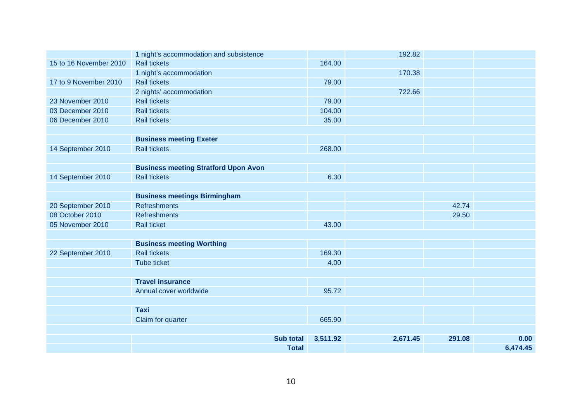|                        | 1 night's accommodation and subsistence     |          | 192.82   |        |          |
|------------------------|---------------------------------------------|----------|----------|--------|----------|
| 15 to 16 November 2010 | <b>Rail tickets</b>                         | 164.00   |          |        |          |
|                        | 1 night's accommodation                     |          | 170.38   |        |          |
| 17 to 9 November 2010  | <b>Rail tickets</b>                         | 79.00    |          |        |          |
|                        | 2 nights' accommodation                     |          | 722.66   |        |          |
| 23 November 2010       | <b>Rail tickets</b>                         | 79.00    |          |        |          |
| 03 December 2010       | <b>Rail tickets</b>                         | 104.00   |          |        |          |
| 06 December 2010       | <b>Rail tickets</b>                         | 35.00    |          |        |          |
|                        |                                             |          |          |        |          |
|                        | <b>Business meeting Exeter</b>              |          |          |        |          |
| 14 September 2010      | <b>Rail tickets</b>                         | 268.00   |          |        |          |
|                        |                                             |          |          |        |          |
|                        | <b>Business meeting Stratford Upon Avon</b> |          |          |        |          |
| 14 September 2010      | <b>Rail tickets</b>                         | 6.30     |          |        |          |
|                        |                                             |          |          |        |          |
|                        | <b>Business meetings Birmingham</b>         |          |          |        |          |
| 20 September 2010      | <b>Refreshments</b>                         |          |          | 42.74  |          |
| 08 October 2010        | <b>Refreshments</b>                         |          |          | 29.50  |          |
| 05 November 2010       | <b>Rail ticket</b>                          | 43.00    |          |        |          |
|                        |                                             |          |          |        |          |
|                        | <b>Business meeting Worthing</b>            |          |          |        |          |
| 22 September 2010      | <b>Rail tickets</b>                         | 169.30   |          |        |          |
|                        | <b>Tube ticket</b>                          | 4.00     |          |        |          |
|                        |                                             |          |          |        |          |
|                        | <b>Travel insurance</b>                     |          |          |        |          |
|                        | Annual cover worldwide                      | 95.72    |          |        |          |
|                        |                                             |          |          |        |          |
|                        | <b>Taxi</b>                                 |          |          |        |          |
|                        | Claim for quarter                           | 665.90   |          |        |          |
|                        |                                             |          |          |        |          |
|                        | <b>Sub total</b>                            | 3,511.92 | 2,671.45 | 291.08 | 0.00     |
|                        | <b>Total</b>                                |          |          |        | 6,474.45 |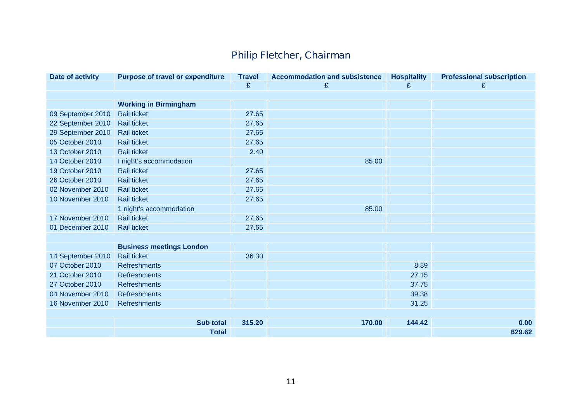# **Philip Fletcher, Chairman**

| Date of activity  | <b>Purpose of travel or expenditure</b> | <b>Travel</b> | <b>Accommodation and subsistence</b> | <b>Hospitality</b> | <b>Professional subscription</b> |
|-------------------|-----------------------------------------|---------------|--------------------------------------|--------------------|----------------------------------|
|                   |                                         | £             | £                                    | £                  | £                                |
|                   |                                         |               |                                      |                    |                                  |
|                   | <b>Working in Birmingham</b>            |               |                                      |                    |                                  |
| 09 September 2010 | <b>Rail ticket</b>                      | 27.65         |                                      |                    |                                  |
| 22 September 2010 | <b>Rail ticket</b>                      | 27.65         |                                      |                    |                                  |
| 29 September 2010 | <b>Rail ticket</b>                      | 27.65         |                                      |                    |                                  |
| 05 October 2010   | <b>Rail ticket</b>                      | 27.65         |                                      |                    |                                  |
| 13 October 2010   | <b>Rail ticket</b>                      | 2.40          |                                      |                    |                                  |
| 14 October 2010   | I night's accommodation                 |               | 85.00                                |                    |                                  |
| 19 October 2010   | <b>Rail ticket</b>                      | 27.65         |                                      |                    |                                  |
| 26 October 2010   | <b>Rail ticket</b>                      | 27.65         |                                      |                    |                                  |
| 02 November 2010  | <b>Rail ticket</b>                      | 27.65         |                                      |                    |                                  |
| 10 November 2010  | <b>Rail ticket</b>                      | 27.65         |                                      |                    |                                  |
|                   | 1 night's accommodation                 |               | 85.00                                |                    |                                  |
| 17 November 2010  | <b>Rail ticket</b>                      | 27.65         |                                      |                    |                                  |
| 01 December 2010  | Rail ticket                             | 27.65         |                                      |                    |                                  |
|                   |                                         |               |                                      |                    |                                  |
|                   | <b>Business meetings London</b>         |               |                                      |                    |                                  |
| 14 September 2010 | <b>Rail ticket</b>                      | 36.30         |                                      |                    |                                  |
| 07 October 2010   | <b>Refreshments</b>                     |               |                                      | 8.89               |                                  |
| 21 October 2010   | <b>Refreshments</b>                     |               |                                      | 27.15              |                                  |
| 27 October 2010   | <b>Refreshments</b>                     |               |                                      | 37.75              |                                  |
| 04 November 2010  | <b>Refreshments</b>                     |               |                                      | 39.38              |                                  |
| 16 November 2010  | <b>Refreshments</b>                     |               |                                      | 31.25              |                                  |
|                   |                                         |               |                                      |                    |                                  |
|                   | <b>Sub total</b>                        | 315.20        | 170.00                               | 144.42             | 0.00                             |
|                   | <b>Total</b>                            |               |                                      |                    | 629.62                           |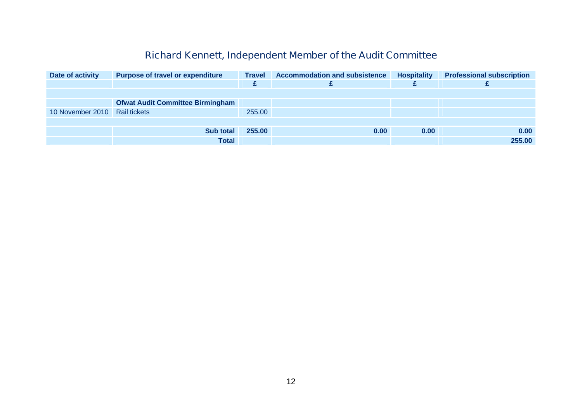#### **Richard Kennett, Independent Member of the Audit Committee**

| Date of activity | <b>Purpose of travel or expenditure</b> | <b>Travel</b> | <b>Accommodation and subsistence</b><br><b>Hospitality</b> |      | <b>Professional subscription</b> |
|------------------|-----------------------------------------|---------------|------------------------------------------------------------|------|----------------------------------|
|                  |                                         | £             |                                                            |      |                                  |
|                  |                                         |               |                                                            |      |                                  |
|                  | <b>Ofwat Audit Committee Birmingham</b> |               |                                                            |      |                                  |
| 10 November 2010 | <b>Rail tickets</b>                     | 255.00        |                                                            |      |                                  |
|                  |                                         |               |                                                            |      |                                  |
|                  | <b>Sub total</b>                        | 255.00        | 0.00                                                       | 0.00 | 0.00                             |
|                  | <b>Total</b>                            |               |                                                            |      | 255.00                           |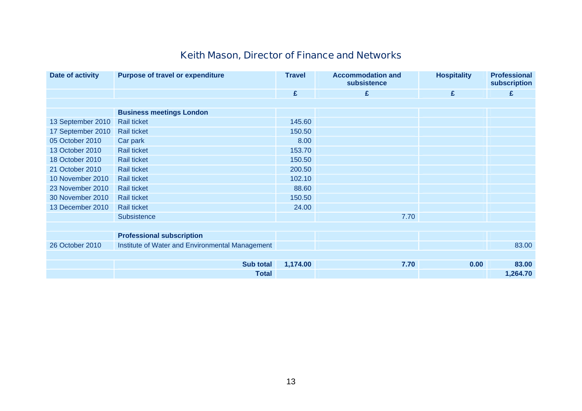# **Keith Mason, Director of Finance and Networks**

| Date of activity  | <b>Purpose of travel or expenditure</b>         | <b>Travel</b> | <b>Accommodation and</b><br>subsistence | <b>Hospitality</b> | <b>Professional</b><br>subscription |  |
|-------------------|-------------------------------------------------|---------------|-----------------------------------------|--------------------|-------------------------------------|--|
|                   |                                                 | £             | £                                       | £                  | £                                   |  |
|                   |                                                 |               |                                         |                    |                                     |  |
|                   | <b>Business meetings London</b>                 |               |                                         |                    |                                     |  |
| 13 September 2010 | <b>Rail ticket</b>                              | 145.60        |                                         |                    |                                     |  |
| 17 September 2010 | <b>Rail ticket</b>                              | 150.50        |                                         |                    |                                     |  |
| 05 October 2010   | Car park                                        | 8.00          |                                         |                    |                                     |  |
| 13 October 2010   | <b>Rail ticket</b>                              | 153.70        |                                         |                    |                                     |  |
| 18 October 2010   | <b>Rail ticket</b>                              | 150.50        |                                         |                    |                                     |  |
| 21 October 2010   | <b>Rail ticket</b>                              | 200.50        |                                         |                    |                                     |  |
| 10 November 2010  | <b>Rail ticket</b>                              | 102.10        |                                         |                    |                                     |  |
| 23 November 2010  | <b>Rail ticket</b>                              | 88.60         |                                         |                    |                                     |  |
| 30 November 2010  | <b>Rail ticket</b>                              | 150.50        |                                         |                    |                                     |  |
| 13 December 2010  | <b>Rail ticket</b>                              | 24.00         |                                         |                    |                                     |  |
|                   | Subsistence                                     |               | 7.70                                    |                    |                                     |  |
|                   |                                                 |               |                                         |                    |                                     |  |
|                   | <b>Professional subscription</b>                |               |                                         |                    |                                     |  |
| 26 October 2010   | Institute of Water and Environmental Management |               |                                         |                    | 83.00                               |  |
|                   |                                                 |               |                                         |                    |                                     |  |
|                   | <b>Sub total</b>                                | 1,174.00      | 7.70                                    | 0.00               | 83.00                               |  |
|                   | <b>Total</b>                                    |               |                                         |                    | 1,264.70                            |  |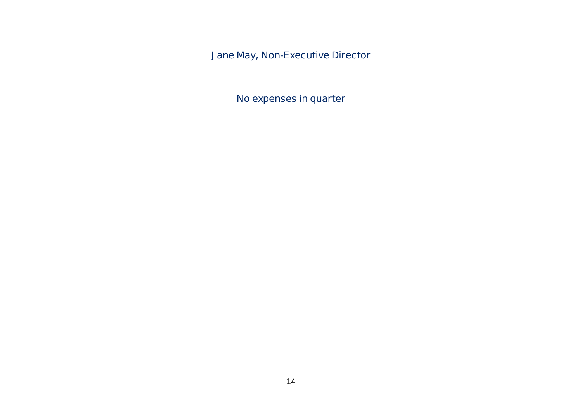**Jane May, Non-Executive Director** 

**No expenses in quarter**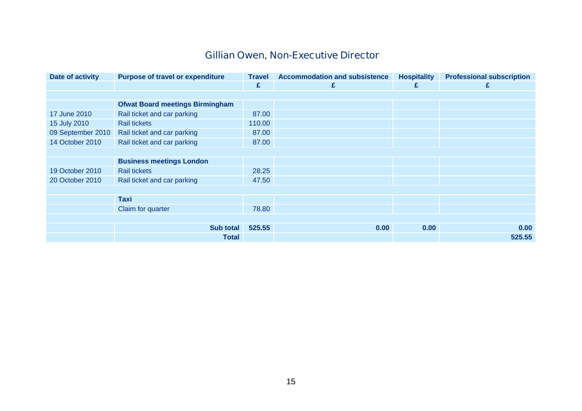# **Gillian Owen, Non-Executive Director**

| Date of activity  | <b>Purpose of travel or expenditure</b> | <b>Travel</b> | <b>Accommodation and subsistence</b> | <b>Hospitality</b> | <b>Professional subscription</b> |  |  |  |
|-------------------|-----------------------------------------|---------------|--------------------------------------|--------------------|----------------------------------|--|--|--|
|                   |                                         | £             | £                                    | £                  | £                                |  |  |  |
|                   |                                         |               |                                      |                    |                                  |  |  |  |
|                   | <b>Ofwat Board meetings Birmingham</b>  |               |                                      |                    |                                  |  |  |  |
| 17 June 2010      | Rail ticket and car parking             | 87.00         |                                      |                    |                                  |  |  |  |
| 15 July 2010      | <b>Rail tickets</b>                     | 110.00        |                                      |                    |                                  |  |  |  |
| 09 September 2010 | Rail ticket and car parking             | 87.00         |                                      |                    |                                  |  |  |  |
| 14 October 2010   | Rail ticket and car parking             | 87.00         |                                      |                    |                                  |  |  |  |
|                   |                                         |               |                                      |                    |                                  |  |  |  |
|                   | <b>Business meetings London</b>         |               |                                      |                    |                                  |  |  |  |
| 19 October 2010   | <b>Rail tickets</b>                     | 28.25         |                                      |                    |                                  |  |  |  |
| 20 October 2010   | Rail ticket and car parking             | 47.50         |                                      |                    |                                  |  |  |  |
|                   |                                         |               |                                      |                    |                                  |  |  |  |
|                   | Taxi                                    |               |                                      |                    |                                  |  |  |  |
|                   | Claim for quarter                       | 78.80         |                                      |                    |                                  |  |  |  |
|                   |                                         |               |                                      |                    |                                  |  |  |  |
|                   | <b>Sub total</b>                        | 525.55        | 0.00                                 | 0.00               | 0.00                             |  |  |  |
|                   | <b>Total</b>                            |               |                                      |                    | 525.55                           |  |  |  |